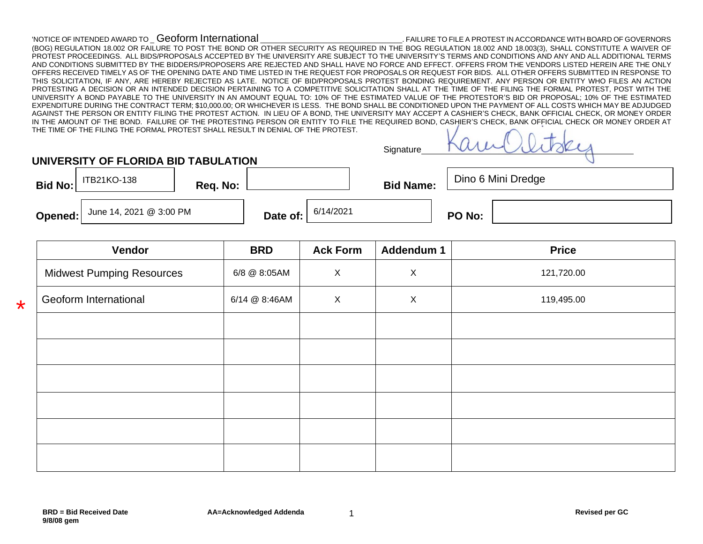## 'NOTICE OF INTENDED AWARD TO \_ Geoform International \_\_\_\_\_\_\_\_\_\_\_\_\_\_\_\_\_\_\_\_\_\_\_\_\_\_\_\_\_\_\_\_\_\_\_\_. FAILURE TO FILE A PROTEST IN ACCORDANCE WITH BOARD OF GOVERNORS

(BOG) REGULATION 18.002 OR FAILURE TO POST THE BOND OR OTHER SECURITY AS REQUIRED IN THE BOG REGULATION 18.002 AND 18.003(3), SHALL CONSTITUTE A WAIVER OF PROTEST PROCEEDINGS. ALL BIDS/PROPOSALS ACCEPTED BY THE UNIVERSITY ARE SUBJECT TO THE UNIVERSITY'S TERMS AND CONDITIONS AND ANY AND ALL ADDITIONAL TERMS AND CONDITIONS SUBMITTED BY THE BIDDERS/PROPOSERS ARE REJECTED AND SHALL HAVE NO FORCE AND EFFECT. OFFERS FROM THE VENDORS LISTED HEREIN ARE THE ONLY OFFERS RECEIVED TIMELY AS OF THE OPENING DATE AND TIME LISTED IN THE REQUEST FOR PROPOSALS OR REQUEST FOR BIDS. ALL OTHER OFFERS SUBMITTED IN RESPONSE TO THIS SOLICITATION, IF ANY, ARE HEREBY REJECTED AS LATE. NOTICE OF BID/PROPOSALS PROTEST BONDING REQUIREMENT. ANY PERSON OR ENTITY WHO FILES AN ACTION PROTESTING A DECISION OR AN INTENDED DECISION PERTAINING TO A COMPETITIVE SOLICITATION SHALL AT THE TIME OF THE FILING THE FORMAL PROTEST, POST WITH THE UNIVERSITY A BOND PAYABLE TO THE UNIVERSITY IN AN AMOUNT EQUAL TO: 10% OF THE ESTIMATED VALUE OF THE PROTESTOR'S BID OR PROPOSAL; 10% OF THE ESTIMATED EXPENDITURE DURING THE CONTRACT TERM; \$10,000.00; OR WHICHEVER IS LESS. THE BOND SHALL BE CONDITIONED UPON THE PAYMENT OF ALL COSTS WHICH MAY BE ADJUDGED AGAINST THE PERSON OR ENTITY FILING THE PROTEST ACTION. IN LIEU OF A BOND, THE UNIVERSITY MAY ACCEPT A CASHIER'S CHECK, BANK OFFICIAL CHECK, OR MONEY ORDER IN THE AMOUNT OF THE BOND. FAILURE OF THE PROTESTING PERSON OR ENTITY TO FILE THE REQUIRED BOND, CASHIER'S CHECK, BANK OFFICIAL CHECK OR MONEY ORDER AT THE TIME OF THE FILING THE FORMAL PROTEST SHALL RESULT IN DENIAL OF THE PROTEST.  $\mathbf{V}$  $\cdot$   $\cdot$ 

| Signature | MILLOUIN. |
|-----------|-----------|
|           |           |

**Bid No: Req. No: <b>Bid No: Bid Name: Bid Name: Bid Name: Bid Name: Bid Name:** 

**UNIVERSITY OF FLORIDA BID TABULATION**

Dino 6 Mini Dredge

**Opened:** June 14, 2021 @ 3:00 PM **Date of:**  $\begin{array}{|c|c|c|c|c|c|c|}\n\hline\n\end{array}$  **PO No:** 

\*

| <b>BRD</b>    | <b>Ack Form</b> | Addendum 1  | <b>Price</b> |
|---------------|-----------------|-------------|--------------|
| 6/8 @ 8:05AM  | $\mathsf X$     | $\mathsf X$ | 121,720.00   |
| 6/14 @ 8:46AM | $\mathsf{X}$    | $\mathsf X$ | 119,495.00   |
|               |                 |             |              |
|               |                 |             |              |
|               |                 |             |              |
|               |                 |             |              |
|               |                 |             |              |
|               |                 |             |              |
|               |                 |             |              |